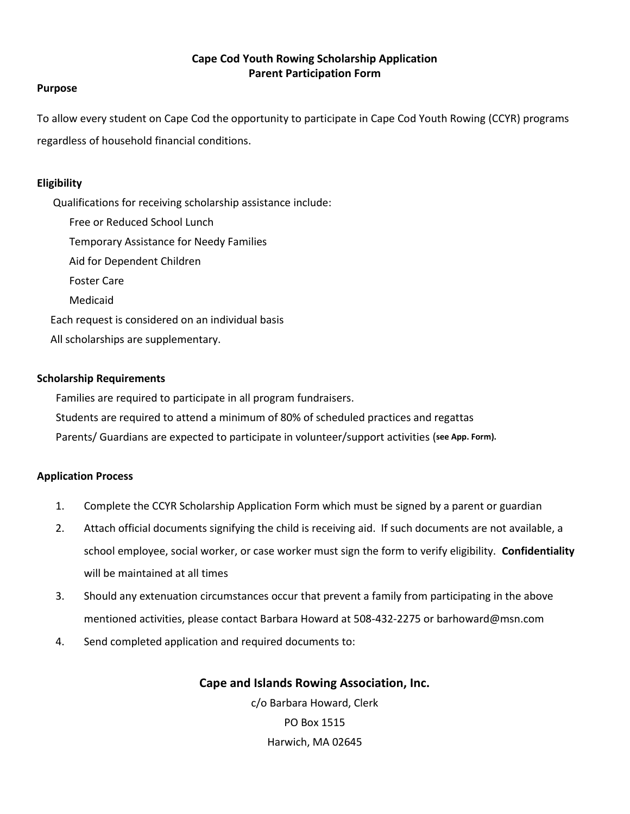## **Cape Cod Youth Rowing Scholarship Application Parent Participation Form**

#### **Purpose**

To allow every student on Cape Cod the opportunity to participate in Cape Cod Youth Rowing (CCYR) programs regardless of household financial conditions.

### **Eligibility**

 Qualifications for receiving scholarship assistance include: Free or Reduced School Lunch Temporary Assistance for Needy Families Aid for Dependent Children Foster Care Medicaid Each request is considered on an individual basis All scholarships are supplementary.

#### **Scholarship Requirements**

Families are required to participate in all program fundraisers.

Students are required to attend a minimum of 80% of scheduled practices and regattas

Parents/ Guardians are expected to participate in volunteer/support activities (**see App. Form).**

#### **Application Process**

- 1. Complete the CCYR Scholarship Application Form which must be signed by a parent or guardian
- 2. Attach official documents signifying the child is receiving aid. If such documents are not available, a school employee, social worker, or case worker must sign the form to verify eligibility. **Confidentiality** will be maintained at all times
- 3. Should any extenuation circumstances occur that prevent a family from participating in the above mentioned activities, please contact Barbara Howard at 508-432-2275 or barhoward@msn.com
- 4. Send completed application and required documents to:

**Cape and Islands Rowing Association, Inc.**

c/o Barbara Howard, Clerk PO Box 1515 Harwich, MA 02645